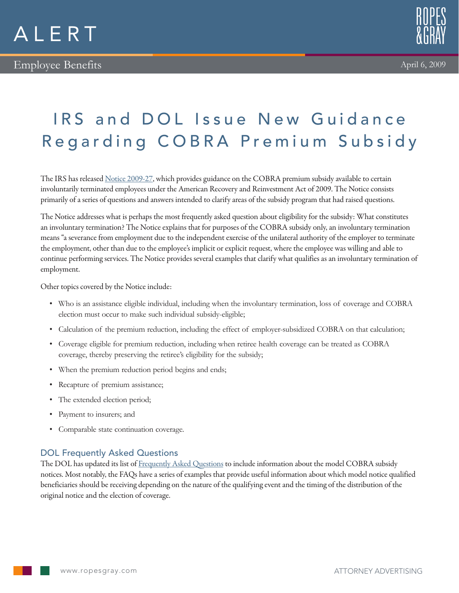

## IRS and DOL Issue New Guidance Regarding COBRA Premium Subsidy

The IRS has released [Notice 2009-27,](http://www.irs.gov/pub/irs-drop/n-09-27.pdf) which provides guidance on the COBRA premium subsidy available to certain involuntarily terminated employees under the American Recovery and Reinvestment Act of 2009. The Notice consists primarily of a series of questions and answers intended to clarify areas of the subsidy program that had raised questions.

The Notice addresses what is perhaps the most frequently asked question about eligibility for the subsidy: What constitutes an involuntary termination? The Notice explains that for purposes of the COBRA subsidy only, an involuntary termination means "a severance from employment due to the independent exercise of the unilateral authority of the employer to terminate the employment, other than due to the employee's implicit or explicit request, where the employee was willing and able to continue performing services. The Notice provides several examples that clarify what qualifies as an involuntary termination of employment.

Other topics covered by the Notice include:

- • Who is an assistance eligible individual, including when the involuntary termination, loss of coverage and COBRA election must occur to make such individual subsidy-eligible;
- • Calculation of the premium reduction, including the effect of employer-subsidized COBRA on that calculation;
- • Coverage eligible for premium reduction, including when retiree health coverage can be treated as COBRA coverage, thereby preserving the retiree's eligibility for the subsidy;
- • When the premium reduction period begins and ends;
- Recapture of premium assistance;
- The extended election period;
- • Payment to insurers; and
- • Comparable state continuation coverage.

## DOL Frequently Asked Questions

The DOL has updated its list of [Frequently Asked Questions](http://www.dol.gov/ebsa/faqs/faq-cobra-premiumreductionER.html) to include information about the model COBRA subsidy notices. Most notably, the FAQs have a series of examples that provide useful information about which model notice qualified beneficiaries should be receiving depending on the nature of the qualifying event and the timing of the distribution of the original notice and the election of coverage.